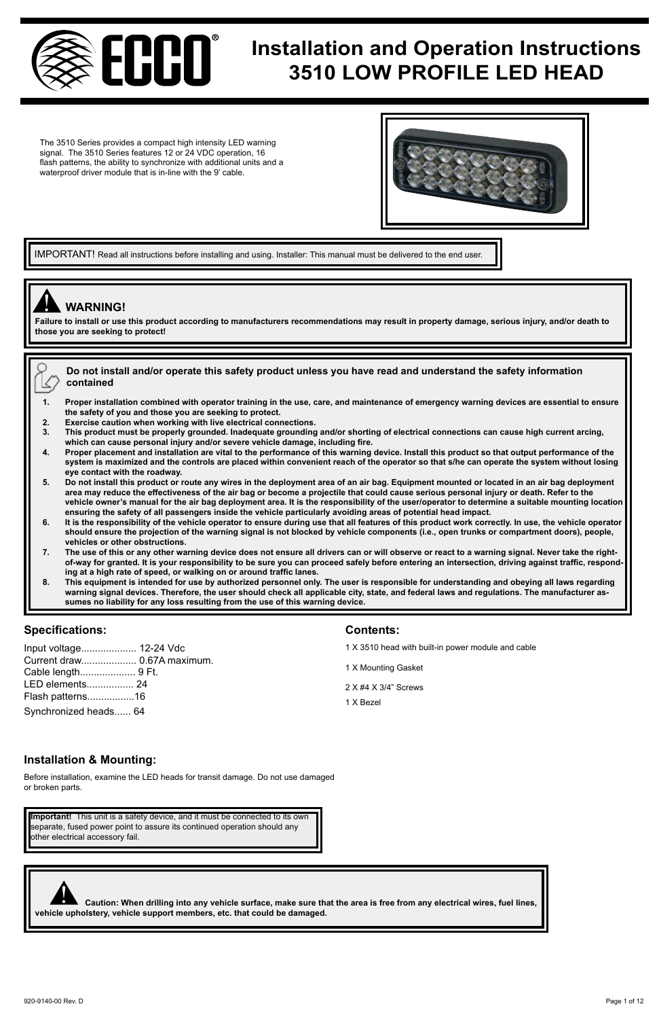

# **Installation and Operation Instructions**<br> **Installation and Operation Instructions 3510 LOW PROFILE LED HEAD**

The 3510 Series provides a compact high intensity LED warning signal. The 3510 Series features 12 or 24 VDC operation, 16 flash patterns, the ability to synchronize with additional units and a waterproof driver module that is in-line with the 9' cable.



IMPORTANT! Read all instructions before installing and using. Installer: This manual must be delivered to the end user

# ! **WARNING!**

**Failure to install or use this product according to manufacturers recommendations may result in property damage, serious injury, and/or death to those you are seeking to protect!** 

| $\gamma_{\_\infty}$ Do not install and/or operate this safety product unless you have read and understand the safety information                                                                                               |
|--------------------------------------------------------------------------------------------------------------------------------------------------------------------------------------------------------------------------------|
| $\langle \rangle$ contained                                                                                                                                                                                                    |
|                                                                                                                                                                                                                                |
| Process to the Hotter is easily and contract the first of the contract of the first of the contract of the contract of the contract of the contract of the contract of the contract of the contract of the contract of the con |

- **1. Proper installation combined with operator training in the use, care, and maintenance of emergency warning devices are essential to ensure the safety of you and those you are seeking to protect.**
- **2. Exercise caution when working with live electrical connections.**
- **3. This product must be properly grounded. Inadequate grounding and/or shorting of electrical connections can cause high current arcing,**  which can cause personal injury and/or severe vehicle damage, including fire.<br>4. Proper placement and installation are vital to the performance of this warning device. Install this product so that output performance of the
- **system is maximized and the controls are placed within convenient reach of the operator so that s/he can operate the system without losing eye contact with the roadway.**
- **5. Do not install this product or route any wires in the deployment area of an air bag. Equipment mounted or located in an air bag deployment area may reduce the effectiveness of the air bag or become a projectile that could cause serious personal injury or death. Refer to the vehicle owner's manual for the air bag deployment area. It is the responsibility of the user/operator to determine a suitable mounting location ensuring the safety of all passengers inside the vehicle particularly avoiding areas of potential head impact.**
- **6. It is the responsibility of the vehicle operator to ensure during use that all features of this product work correctly. In use, the vehicle operator should ensure the projection of the warning signal is not blocked by vehicle components (i.e., open trunks or compartment doors), people, vehicles or other obstructions.**
- **7. The use of this or any other warning device does not ensure all drivers can or will observe or react to a warning signal. Never take the rightof-way for granted. It is your responsibility to be sure you can proceed safely before entering an intersection, driving against traffic, responding at a high rate of speed, or walking on or around traffic lanes.**
- **8. This equipment is intended for use by authorized personnel only. The user is responsible for understanding and obeying all laws regarding warning signal devices. Therefore, the user should check all applicable city, state, and federal laws and regulations. The manufacturer assumes no liability for any loss resulting from the use of this warning device.**

# **Specifications: Contents:**

| Input voltage 12-24 Vdc     |  |
|-----------------------------|--|
| Current draw 0.67A maximum. |  |
|                             |  |
| LED elements 24             |  |
| Flash patterns16            |  |
| Synchronized heads 64       |  |

- 1 X 3510 head with built-in power module and cable
- 1 X Mounting Gasket
- 2 X #4 X 3/4" Screws
- 1 X Bezel

# **Installation & Mounting:**

Before installation, examine the LED heads for transit damage. Do not use damaged or broken parts.

**Important!** This unit is a safety device, and it must be connected to its own separate, fused power point to assure its continued operation should any other electrical accessory fail.



 **Caution: When drilling into any vehicle surface, make sure that the area is free from any electrical wires, fuel lines, vehicle upholstery, vehicle surface, make sure that could be damaged.**<br>Vehicle upholstery, vehicle support members, etc. that could be damaged.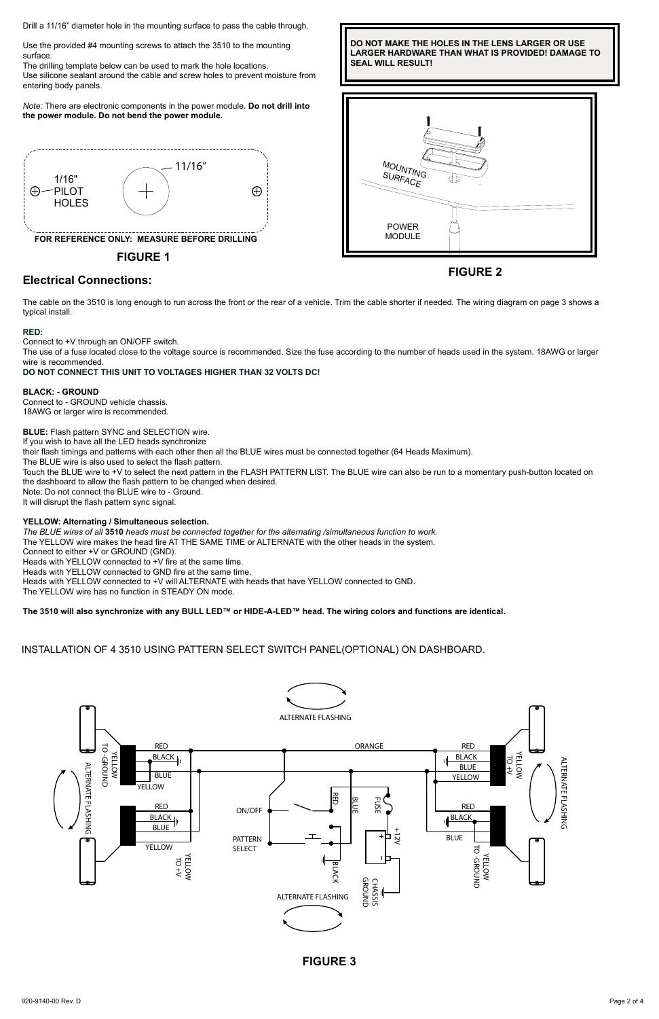Drill a 11/16" diameter hole in the mounting surface to pass the cable through.

Use the provided #4 mounting screws to attach the 3510 to the mounting surface.

The drilling template below can be used to mark the hole locations. Use silicone sealant around the cable and screw holes to prevent moisture from entering body panels.

*Note:* There are electronic components in the power module. **Do not drill into the power module. Do not bend the power module.**



**FIGURE 1**

# **FIGURE 2 Electrical Connections:**

The cable on the 3510 is long enough to run across the front or the rear of a vehicle. Trim the cable shorter if needed. The wiring diagram on page 3 shows a typical install.

#### **RED:**

Connect to +V through an ON/OFF switch.

The use of a fuse located close to the voltage source is recommended. Size the fuse according to the number of heads used in the system. 18AWG or larger wire is recommended.

## **DO NOT CONNECT THIS UNIT TO VOLTAGES HIGHER THAN 32 VOLTS DC!**

#### **BLACK: - GROUND**

Connect to - GROUND vehicle chassis. 18AWG or larger wire is recommended.

## **BLUE:** Flash pattern SYNC and SELECTION wire.

If you wish to have all the LED heads synchronize their flash timings and patterns with each other then all the BLUE wires must be connected together (64 Heads Maximum). The BLUE wire is also used to select the flash pattern. Touch the BLUE wire to +V to select the next pattern in the FLASH PATTERN LIST. The BLUE wire can also be run to a momentary push-button located on the dashboard to allow the flash pattern to be changed when desired. Note: Do not connect the BLUE wire to - Ground. It will disrupt the flash pattern sync signal.

# **YELLOW: Alternating / Simultaneous selection.**

The BLUE wires of all **3510** heads must be connected together for the alternating /simultaneous function to work.<br>The YELLOW wire makes the head fire AT THE SAME TIME or ALTERNATE with the other heads in the system. Connect to either +V or GROUND (GND). Heads with YELLOW connected to +V fire at the same time. Heads with YELLOW connected to GND fire at the same time. Heads with YELLOW connected to +V will ALTERNATE with heads that have YELLOW connected to GND. The YELLOW wire has no function in STEADY ON mode.

**The 3510 will also synchronize with any BULL LED™ or HIDE-A-LED™ head. The wiring colors and functions are identical.**

INSTALLATION OF 4 3510 USING PATTERN SELECT SWITCH PANEL(OPTIONAL) ON DASHBOARD.



 **SEAL WILL RESULT! DO NOT MAKE THE HOLES IN THE LENS LARGER OR USE LARGER HARDWARE THAN WHAT IS PROVIDED! DAMAGE TO** 



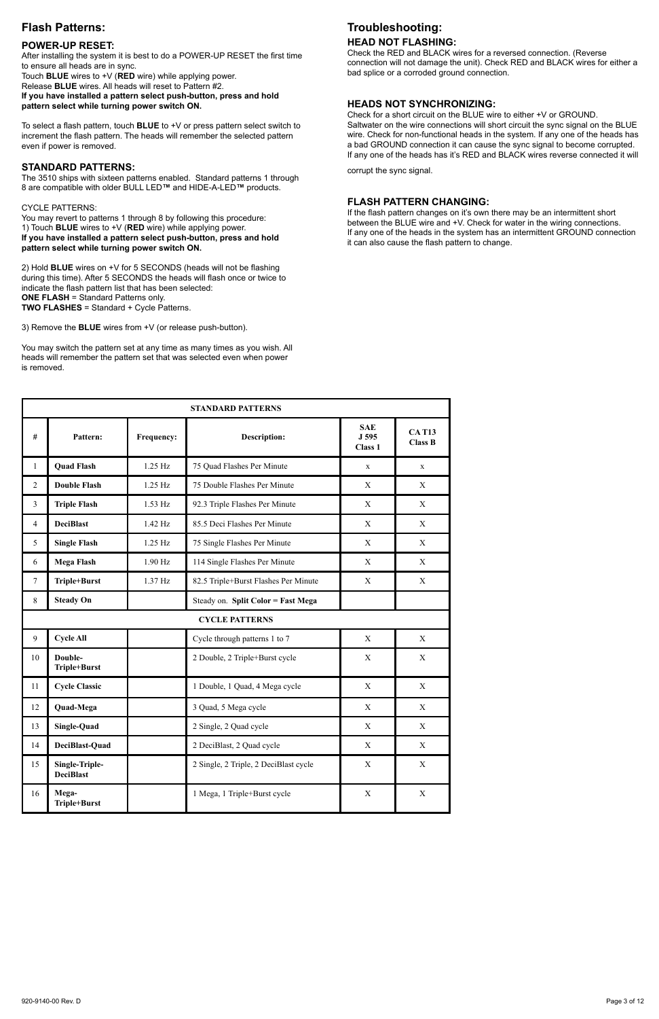# **Flash Patterns:**

# **POWER-UP RESET:**

After installing the system it is best to do a POWER-UP RESET the first time to ensure all heads are in sync.

Touch **BLUE** wires to +V (**RED** wire) while applying power. Release **BLUE** wires. All heads will reset to Pattern #2.

**If you have installed a pattern select push-button, press and hold pattern select while turning power switch ON.** 

To select a flash pattern, touch **BLUE** to +V or press pattern select switch to increment the flash pattern. The heads will remember the selected pattern even if power is removed.

## **STANDARD PATTERNS:**

The 3510 ships with sixteen patterns enabled. Standard patterns 1 through 8 are compatible with older BULL LED**™** and HIDE-A-LED**™** products.

#### CYCLE PATTERNS:

You may revert to patterns 1 through 8 by following this procedure: 1) Touch **BLUE** wires to +V (**RED** wire) while applying power. **If you have installed a pattern select push-button, press and hold pattern select while turning power switch ON.** 

2) Hold **BLUE** wires on +V for 5 SECONDS (heads will not be flashing during this time). After 5 SECONDS the heads will flash once or twice to indicate the flash pattern list that has been selected: **ONE FLASH** = Standard Patterns only. **TWO FLASHES** = Standard + Cycle Patterns.

3) Remove the **BLUE** wires from +V (or release push-button).

You may switch the pattern set at any time as many times as you wish. All heads will remember the pattern set that was selected even when power is removed.

# **Troubleshooting:**

# **HEAD NOT FLASHING:**

Check the RED and BLACK wires for a reversed connection. (Reverse connection will not damage the unit). Check RED and BLACK wires for either a bad splice or a corroded ground connection.

### **HEADS NOT SYNCHRONIZING:**

Check for a short circuit on the BLUE wire to either +V or GROUND. Saltwater on the wire connections will short circuit the sync signal on the BLUE wire. Check for non-functional heads in the system. If any one of the heads has a bad GROUND connection it can cause the sync signal to become corrupted. If any one of the heads has it's RED and BLACK wires reverse connected it will corrupt the sync signal.

# **FLASH PATTERN CHANGING:**

If the flash pattern changes on it's own there may be an intermittent short between the BLUE wire and +V. Check for water in the wiring connections. If any one of the heads in the system has an intermittent GROUND connection it can also cause the flash pattern to change.

| <b>STANDARD PATTERNS</b> |                                    |            |                                       |                                           |                                |  |
|--------------------------|------------------------------------|------------|---------------------------------------|-------------------------------------------|--------------------------------|--|
| #                        | Pattern:                           | Frequency: | <b>Description:</b>                   | <b>SAE</b><br>J 595<br>Class <sub>1</sub> | <b>CAT13</b><br><b>Class B</b> |  |
| $\mathbf{1}$             | <b>Ouad Flash</b>                  | 125 Hz     | 75 Quad Flashes Per Minute            | $\mathbf{x}$                              | x                              |  |
| $\overline{a}$           | <b>Double Flash</b>                | 125 Hz     | 75 Double Flashes Per Minute          | X                                         | X                              |  |
| 3                        | <b>Triple Flash</b>                | $1.53$ Hz  | 92.3 Triple Flashes Per Minute        | X                                         | X                              |  |
| $\overline{4}$           | <b>DeciBlast</b>                   | $142$ Hz   | 85.5 Deci Flashes Per Minute          | X                                         | X                              |  |
| 5                        | <b>Single Flash</b>                | $1.25$ Hz  | 75 Single Flashes Per Minute          | X                                         | X                              |  |
| 6                        | Mega Flash                         | 1.90 Hz    | 114 Single Flashes Per Minute         | X                                         | X                              |  |
| $\overline{7}$           | Triple+Burst                       | $1.37$ Hz  | 82.5 Triple+Burst Flashes Per Minute  | X                                         | X                              |  |
| 8                        | <b>Steady On</b>                   |            | Steady on. Split Color = Fast Mega    |                                           |                                |  |
|                          |                                    |            | <b>CYCLE PATTERNS</b>                 |                                           |                                |  |
| $\overline{9}$           | <b>Cycle All</b>                   |            | Cycle through patterns 1 to 7         | X                                         | X                              |  |
| 10                       | Double-<br>Triple+Burst            |            | 2 Double, 2 Triple+Burst cycle        | X                                         | X                              |  |
| 11                       | <b>Cycle Classic</b>               |            | 1 Double, 1 Quad, 4 Mega cycle        | X                                         | X                              |  |
| 12                       | <b>Quad-Mega</b>                   |            | 3 Quad, 5 Mega cycle                  | X                                         | X                              |  |
| 13                       | Single-Quad                        |            | 2 Single, 2 Quad cycle                | X                                         | X                              |  |
| 14                       | DeciBlast-Quad                     |            | 2 DeciBlast, 2 Quad cycle             | X                                         | X                              |  |
| 15                       | Single-Triple-<br><b>DeciBlast</b> |            | 2 Single, 2 Triple, 2 DeciBlast cycle | X                                         | X                              |  |
| 16                       | Mega-<br>Triple+Burst              |            | 1 Mega, 1 Triple+Burst cycle          | X                                         | X                              |  |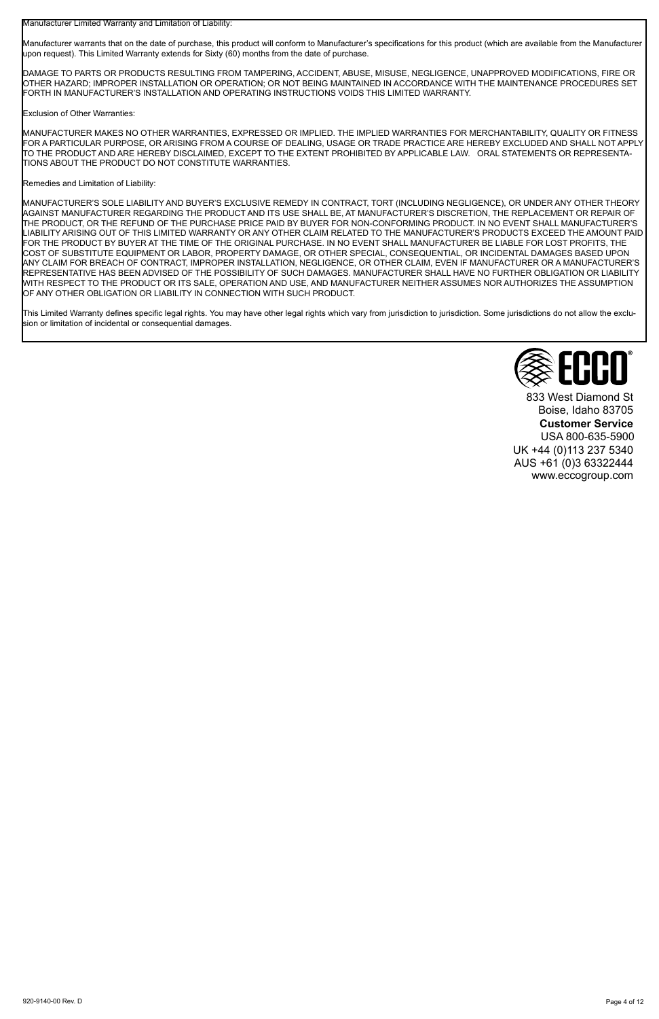Manufacturer Limited Warranty and Limitation of Liability:

Manufacturer warrants that on the date of purchase, this product will conform to Manufacturer's specifications for this product (which are available from the Manufacturer upon request). This Limited Warranty extends for Sixty (60) months from the date of purchase.

DAMAGE TO PARTS OR PRODUCTS RESULTING FROM TAMPERING, ACCIDENT, ABUSE, MISUSE, NEGLIGENCE, UNAPPROVED MODIFICATIONS, FIRE OR OTHER HAZARD; IMPROPER INSTALLATION OR OPERATION; OR NOT BEING MAINTAINED IN ACCORDANCE WITH THE MAINTENANCE PROCEDURES SET<br>FORTH IN MANUFACTURER'S INSTALLATION AND OPERATING INSTRUCTIONS VOIDS THIS LIMITED WARRANTY.

Exclusion of Other Warranties:

MANUFACTURER MAKES NO OTHER WARRANTIES, EXPRESSED OR IMPLIED. THE IMPLIED WARRANTIES FOR MERCHANTABILITY, QUALITY OR FITNESS FOR A PARTICULAR PURPOSE, OR ARISING FROM A COURSE OF DEALING, USAGE OR TRADE PRACTICE ARE HEREBY EXCLUDED AND SHALL NOT APPLY TO THE PRODUCT AND ARE HEREBY DISCLAIMED, EXCEPT TO THE EXTENT PROHIBITED BY APPLICABLE LAW. ORAL STATEMENTS OR REPRESENTA-TIONS ABOUT THE PRODUCT DO NOT CONSTITUTE WARRANTIES.

### Remedies and Limitation of Liability:

MANUFACTURER'S SOLE LIABILITY AND BUYER'S EXCLUSIVE REMEDY IN CONTRACT, TORT (INCLUDING NEGLIGENCE), OR UNDER ANY OTHER THEORY AGAINST MANUFACTURER REGARDING THE PRODUCT AND ITS USE SHALL BE, AT MANUFACTURER'S DISCRETION, THE REPLACEMENT OR REPAIR OF THE PRODUCT, OR THE REFUND OF THE PURCHASE PRICE PAID BY BUYER FOR NON-CONFORMING PRODUCT. IN NO EVENT SHALL MANUFACTURER'S LIABILITY ARISING OUT OF THIS LIMITED WARRANTY OR ANY OTHER CLAIM RELATED TO THE MANUFACTURER'S PRODUCTS EXCEED THE AMOUNT PAID FOR THE PRODUCT BY BUYER AT THE TIME OF THE ORIGINAL PURCHASE. IN NO EVENT SHALL MANUFACTURER BE LIABLE FOR LOST PROFITS, THE COST OF SUBSTITUTE EQUIPMENT OR LABOR, PROPERTY DAMAGE, OR OTHER SPECIAL, CONSEQUENTIAL, OR INCIDENTAL DAMAGES BASED UPON ANY CLAIM FOR BREACH OF CONTRACT, IMPROPER INSTALLATION, NEGLIGENCE, OR OTHER CLAIM, EVEN IF MANUFACTURER OR A MANUFACTURER'S REPRESENTATIVE HAS BEEN ADVISED OF THE POSSIBILITY OF SUCH DAMAGES. MANUFACTURER SHALL HAVE NO FURTHER OBLIGATION OR LIABILITY WITH RESPECT TO THE PRODUCT OR ITS SALE, OPERATION AND USE, AND MANUFACTURER NEITHER ASSUMES NOR AUTHORIZES THE ASSUMPTION OF ANY OTHER OBLIGATION OR LIABILITY IN CONNECTION WITH SUCH PRODUCT.

This Limited Warranty defines specific legal rights. You may have other legal rights which vary from jurisdiction to jurisdiction. Some jurisdictions do not allow the exclusion or limitation of incidental or consequential damages.



833 West Diamond St Boise, Idaho 83705 **Customer Service** USA 800-635-5900 UK +44 (0)113 237 5340 AUS +61 (0)3 63322444 www.eccogroup.com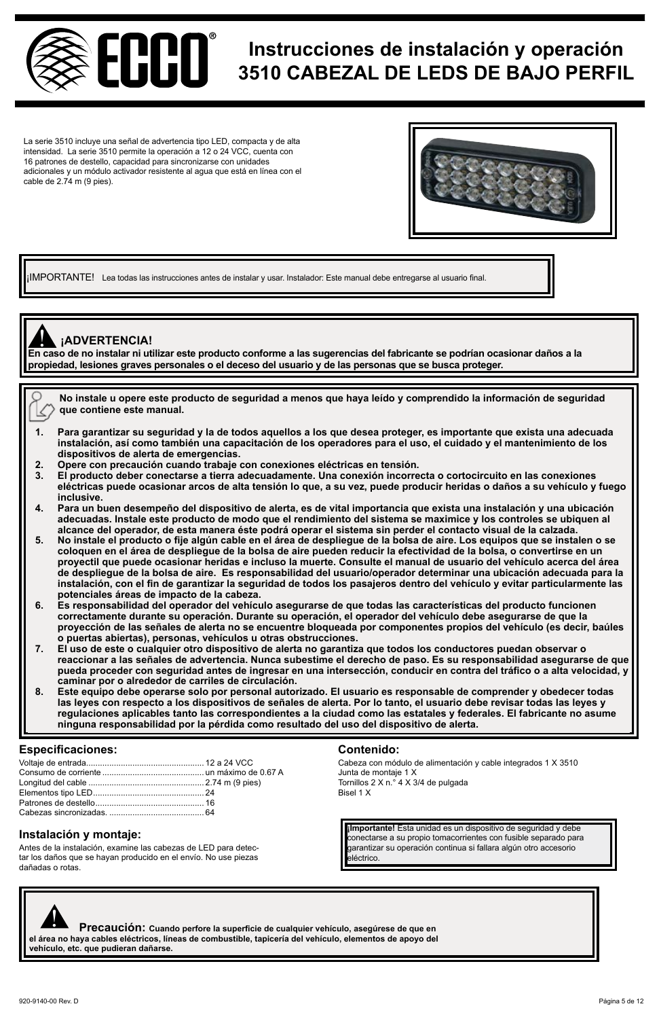

# **Instrucciones de instalación y operación 3510 CABEZAL DE LEDS DE BAJO PERFIL**

La serie 3510 incluye una señal de advertencia tipo LED, compacta y de alta intensidad. La serie 3510 permite la operación a 12 o 24 VCC, cuenta con 16 patrones de destello, capacidad para sincronizarse con unidades adicionales y un módulo activador resistente al agua que está en línea con el cable de 2.74 m (9 pies).



¡IMPORTANTE! Lea todas las instrucciones antes de instalar y usar. Instalador: Este manual debe entregarse al usuario final.

# **¡ADVERTENCIA!**

**En caso de no instalar ni utilizar este producto conforme a las sugerencias del fabricante se podrían ocasionar daños a la**  ! **propiedad, lesiones graves personales o el deceso del usuario y de las personas que se busca proteger.**

**No instale u opere este producto de seguridad a menos que haya leído y comprendido la información de seguridad**  R **que contiene este manual.**

- **1. Para garantizar su seguridad y la de todos aquellos a los que desea proteger, es importante que exista una adecuada instalación, así como también una capacitación de los operadores para el uso, el cuidado y el mantenimiento de los dispositivos de alerta de emergencias.**
- **2. Opere con precaución cuando trabaje con conexiones eléctricas en tensión.**
- **3. El producto deber conectarse a tierra adecuadamente. Una conexión incorrecta o cortocircuito en las conexiones eléctricas puede ocasionar arcos de alta tensión lo que, a su vez, puede producir heridas o daños a su vehículo y fuego inclusive.**
- **4. Para un buen desempeño del dispositivo de alerta, es de vital importancia que exista una instalación y una ubicación adecuadas. Instale este producto de modo que el rendimiento del sistema se maximice y los controles se ubiquen al alcance del operador, de esta manera éste podrá operar el sistema sin perder el contacto visual de la calzada.**
- **5. No instale el producto o fije algún cable en el área de despliegue de la bolsa de aire. Los equipos que se instalen o se coloquen en el área de despliegue de la bolsa de aire pueden reducir la efectividad de la bolsa, o convertirse en un proyectil que puede ocasionar heridas e incluso la muerte. Consulte el manual de usuario del vehículo acerca del área de despliegue de la bolsa de aire. Es responsabilidad del usuario/operador determinar una ubicación adecuada para la instalación, con el fin de garantizar la seguridad de todos los pasajeros dentro del vehículo y evitar particularmente las potenciales áreas de impacto de la cabeza.**
- 6. Es responsabilidad del operador del vehículo asegurarse de que todas las características del producto funcionen<br>Correctamente durante su operación. Durante su operación, el operador del vehículo debe asegurarse de que l **proyección de las señales de alerta no se encuentre bloqueada por componentes propios del vehículo (es decir, baúles**
- **o puertas abiertas), personas, vehículos u otras obstrucciones. 7. El uso de este o cualquier otro dispositivo de alerta no garantiza que todos los conductores puedan observar o reaccionar a las señales de advertencia. Nunca subestime el derecho de paso. Es su responsabilidad asegurarse de que pueda proceder con seguridad antes de ingresar en una intersección, conducir en contra del tráfico o a alta velocidad, y caminar por o alrededor de carriles de circulación.**
- **8. Este equipo debe operarse solo por personal autorizado. El usuario es responsable de comprender y obedecer todas las leyes con respecto a los dispositivos de señales de alerta. Por lo tanto, el usuario debe revisar todas las leyes y regulaciones aplicables tanto las correspondientes a la ciudad como las estatales y federales. El fabricante no asume ninguna responsabilidad por la pérdida como resultado del uso del dispositivo de alerta.**

# **Especificaciones: Contenido:**

Antes de la instalación, examine las cabezas de LED para detectar los daños que se hayan producido en el envío. No use piezas dañadas o rotas.

Cabeza con módulo de alimentación y cable integrados 1 X 3510 Junta de montaje 1 X Tornillos 2 X n.° 4 X 3/4 de pulgada Bisel 1 X

**Instalación y montaje:**<br> **Instalación y montaje:**<br> **Conectarse a su propio tomacorrientes con fusible separado para** garantizar su operación continua si fallara algún otro accesorio eléctrico.

 **Precaución: Cuando perfore la superficie de cualquier vehículo, asegúrese de que en el área no haya cables eléctricos, líneas de combustible, tapicería del vehículo, elementos de apoyo del vehículo, etc. que pudieran dañarse.**  $\boldsymbol{\mathsf{g}}$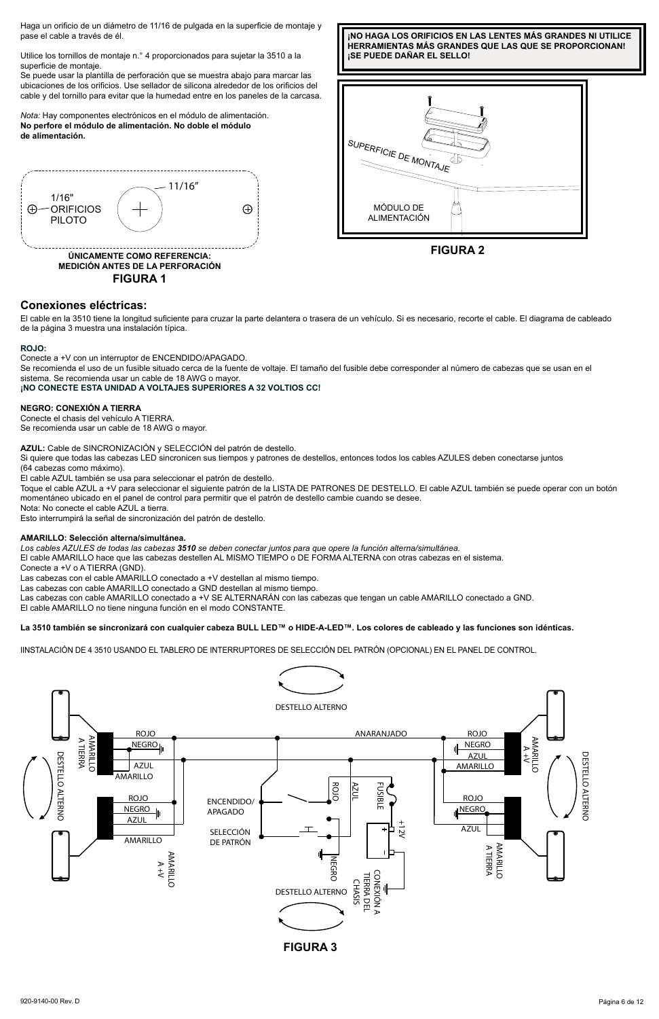Haga un orificio de un diámetro de 11/16 de pulgada en la superficie de montaje y pase el cable a través de él.

Utilice los tornillos de montaje n.° 4 proporcionados para sujetar la 3510 a la superficie de montaje.

Se puede usar la plantilla de perforación que se muestra abajo para marcar las ubicaciones de los orificios. Use sellador de silicona alrededor de los orificios del cable y del tornillo para evitar que la humedad entre en los paneles de la carcasa.

*Nota:* Hay componentes electrónicos en el módulo de alimentación. **No perfore el módulo de alimentación. No doble el módulo de alimentación.**



**FIGURA 1**







# **Conexiones eléctricas:**

El cable en la 3510 tiene la longitud suficiente para cruzar la parte delantera o trasera de un vehículo. Si es necesario, recorte el cable. El diagrama de cableado de la página 3 muestra una instalación típica.

#### **ROJO:**

Conecte a +V con un interruptor de ENCENDIDO/APAGADO.

Se recomienda el uso de un fusible situado cerca de la fuente de voltaje. El tamaño del fusible debe corresponder al número de cabezas que se usan en el sistema. Se recomienda usar un cable de 18 AWG o mayor.

# **¡NO CONECTE ESTA UNIDAD A VOLTAJES SUPERIORES A 32 VOLTIOS CC!**

#### **NEGRO: CONEXIÓN A TIERRA**

Conecte el chasis del vehículo A TIERRA. Se recomienda usar un cable de 18 AWG o mayor.

**AZUL:** Cable de SINCRONIZACIÓN y SELECCIÓN del patrón de destello.

Si quiere que todas las cabezas LED sincronicen sus tiempos y patrones de destellos, entonces todos los cables AZULES deben conectarse juntos (64 cabezas como máximo).

El cable AZUL también se usa para seleccionar el patrón de destello.

Toque el cable AZUL a +V para seleccionar el siguiente patrón de la LISTA DE PATRONES DE DESTELLO. El cable AZUL también se puede operar con un botón momentáneo ubicado en el panel de control para permitir que el patrón de destello cambie cuando se desee. Nota: No conecte el cable AZUL a tierra.

Esto interrumpirá la señal de sincronización del patrón de destello.

#### **AMARILLO: Selección alterna/simultánea.**

*Los cables AZULES de todas las cabezas 3510 se deben conectar juntos para que opere la función alterna/simultánea.*

El cable AMARILLO hace que las cabezas destellen AL MISMO TIEMPO o DE FORMA ALTERNA con otras cabezas en el sistema.

Conecte a +V o A TIERRA (GND).

Las cabezas con el cable AMARILLO conectado a +V destellan al mismo tiempo.

Las cabezas con cable AMARILLO conectado a GND destellan al mismo tiempo.

Las cabezas con cable AMARILLO conectado a +V SE ALTERNARÁN con las cabezas que tengan un cable AMARILLO conectado a GND. El cable AMARILLO no tiene ninguna función en el modo CONSTANTE.

### **La 3510 también se sincronizará con cualquier cabeza BULL LED™ o HIDE-A-LED™. Los colores de cableado y las funciones son idénticas.**

IINSTALACIÓN DE 4 3510 USANDO EL TABLERO DE INTERRUPTORES DE SELECCIÓN DEL PATRÓN (OPCIONAL) EN EL PANEL DE CONTROL.

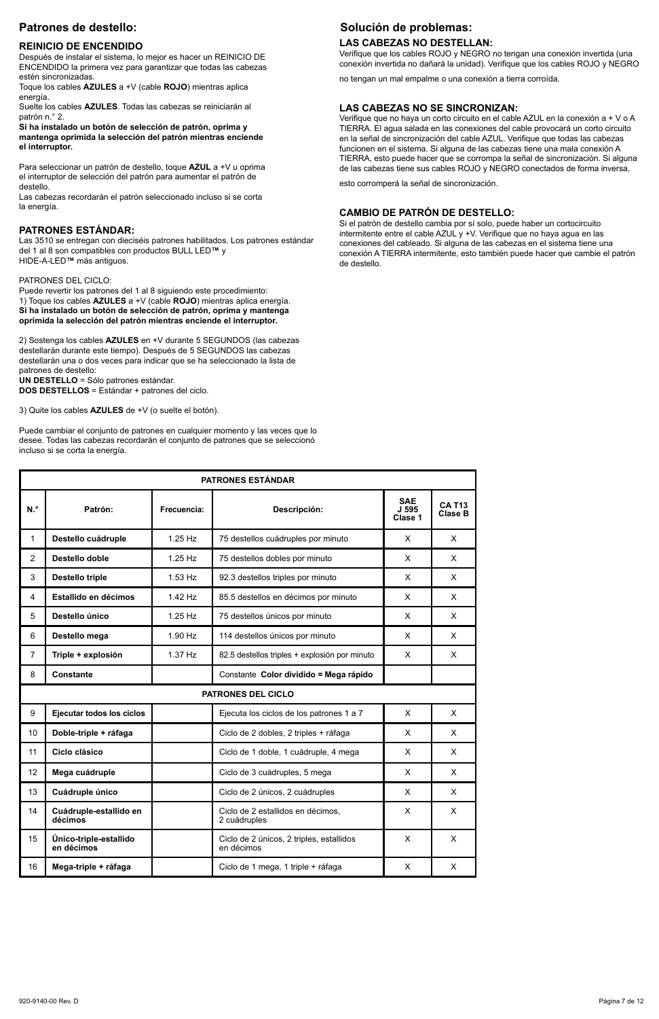# **Patrones de destello:**

#### **REINICIO DE ENCENDIDO**

Después de instalar el sistema, lo mejor es hacer un REINICIO DE ENCENDIDO la primera vez para garantizar que todas las cabezas estén sincronizadas.

Toque los cables **AZULES** a +V (cable **ROJO**) mientras aplica energía.

Suelte los cables **AZULES**. Todas las cabezas se reiniciarán al patrón n.° 2.

**Si ha instalado un botón de selección de patrón, oprima y mantenga oprimida la selección del patrón mientras enciende el interruptor.** 

Para seleccionar un patrón de destello, toque **AZUL** a +V u oprima el interruptor de selección del patrón para aumentar el patrón de destello.

Las cabezas recordarán el patrón seleccionado incluso si se corta la energía.

#### **PATRONES ESTÁNDAR:**

Las 3510 se entregan con dieciséis patrones habilitados. Los patrones estándar del 1 al 8 son compatibles con productos BULL LED**™** y HIDE-A-LED**™** más antiguos.

#### PATRONES DEL CICLO:

Puede revertir los patrones del 1 al 8 siguiendo este procedimiento: 1) Toque los cables **AZULES** a +V (cable **ROJO**) mientras aplica energía. **Si ha instalado un botón de selección de patrón, oprima y mantenga oprimida la selección del patrón mientras enciende el interruptor.** 

2) Sostenga los cables **AZULES** en +V durante 5 SEGUNDOS (las cabezas destellarán durante este tiempo). Después de 5 SEGUNDOS las cabezas destellarán una o dos veces para indicar que se ha seleccionado la lista de patrones de destello: **UN DESTELLO** = Sólo patrones estándar.

**DOS DESTELLOS** = Estándar + patrones del ciclo.

3) Quite los cables **AZULES** de +V (o suelte el botón).

Puede cambiar el conjunto de patrones en cualquier momento y las veces que lo desee. Todas las cabezas recordarán el conjunto de patrones que se seleccionó incluso si se corta la energía.

# **Solución de problemas:**

# **LAS CABEZAS NO DESTELLAN:**

Verifique que los cables ROJO y NEGRO no tengan una conexión invertida (una conexión invertida no dañará la unidad). Verifique que los cables ROJO y NEGRO

no tengan un mal empalme o una conexión a tierra corroída.

#### **LAS CABEZAS NO SE SINCRONIZAN:**

Verifique que no haya un corto circuito en el cable AZUL en la conexión a + V o A TIERRA. El agua salada en las conexiones del cable provocará un corto circuito en la señal de sincronización del cable AZUL. Verifique que todas las cabezas funcionen en el sistema. Si alguna de las cabezas tiene una mala conexión A TIERRA, esto puede hacer que se corrompa la señal de sincronización. Si alguna de las cabezas tiene sus cables ROJO y NEGRO conectados de forma inversa,

esto corromperá la señal de sincronización.

#### **CAMBIO DE PATRÓN DE DESTELLO:**

Si el patrón de destello cambia por sí solo, puede haber un cortocircuito intermitente entre el cable AZUL y +V. Verifique que no haya agua en las conexiones del cableado. Si alguna de las cabezas en el sistema tiene una conexión A TIERRA intermitente, esto también puede hacer que cambie el patrón de destello.

| <b>PATRONES ESTÁNDAR</b> |                                      |             |                                                        |                                |                          |
|--------------------------|--------------------------------------|-------------|--------------------------------------------------------|--------------------------------|--------------------------|
| N.º                      | Patrón:                              | Frecuencia: | Descripción:                                           | <b>SAE</b><br>J 595<br>Clase 1 | <b>CA T13</b><br>Clase B |
| 1                        | Destello cuádruple                   | $1.25$ Hz   | 75 destellos cuádruples por minuto                     | $\times$                       | X                        |
| $\overline{2}$           | Destello doble                       | $1.25$ Hz   | 75 destellos dobles por minuto                         | X                              | x                        |
| 3                        | <b>Destello triple</b>               | $1.53$ Hz   | 92.3 destellos triples por minuto                      | $\times$                       | x                        |
| 4                        | Estallido en décimos                 | $1.42$ Hz   | 85.5 destellos en décimos por minuto                   | X                              | X                        |
| 5                        | Destello único                       | $1.25$ Hz   | 75 destellos únicos por minuto                         | $\times$                       | x                        |
| 6                        | Destello mega                        | $1.90$ Hz   | 114 destellos únicos por minuto                        | X                              | x                        |
| $\overline{7}$           | Triple + explosión                   | $1.37$ Hz   | 82.5 destellos triples + explosión por minuto          | x                              | x                        |
| 8                        | Constante                            |             | Constante Color dividido = Mega rápido                 |                                |                          |
|                          |                                      |             | PATRONES DEL CICLO                                     |                                |                          |
| 9                        | Eiecutar todos los ciclos            |             | Ejecuta los ciclos de los patrones 1 a 7               | X                              | X                        |
| 10 <sup>10</sup>         | Doble-triple + ráfaga                |             | Ciclo de 2 dobles, 2 triples + ráfaga                  | $\times$                       | X                        |
| 11                       | Ciclo clásico                        |             | Ciclo de 1 doble, 1 cuádruple, 4 mega                  | X                              | X                        |
| 12                       | Mega cuádruple                       |             | Ciclo de 3 cuádruples, 5 mega                          | X                              | x                        |
| 13                       | Cuádruple único                      |             | Ciclo de 2 únicos, 2 cuádruples                        | $\times$                       | X                        |
| 14                       | Cuádruple-estallido en<br>décimos    |             | Ciclo de 2 estallidos en décimos.<br>2 cuádruples      | X                              | x                        |
| 15                       | Único-triple-estallido<br>en décimos |             | Ciclo de 2 únicos, 2 triples, estallidos<br>en décimos | X                              | x                        |
| 16                       | Mega-triple + ráfaga                 |             | Ciclo de 1 mega, 1 triple + ráfaga                     | X                              | x                        |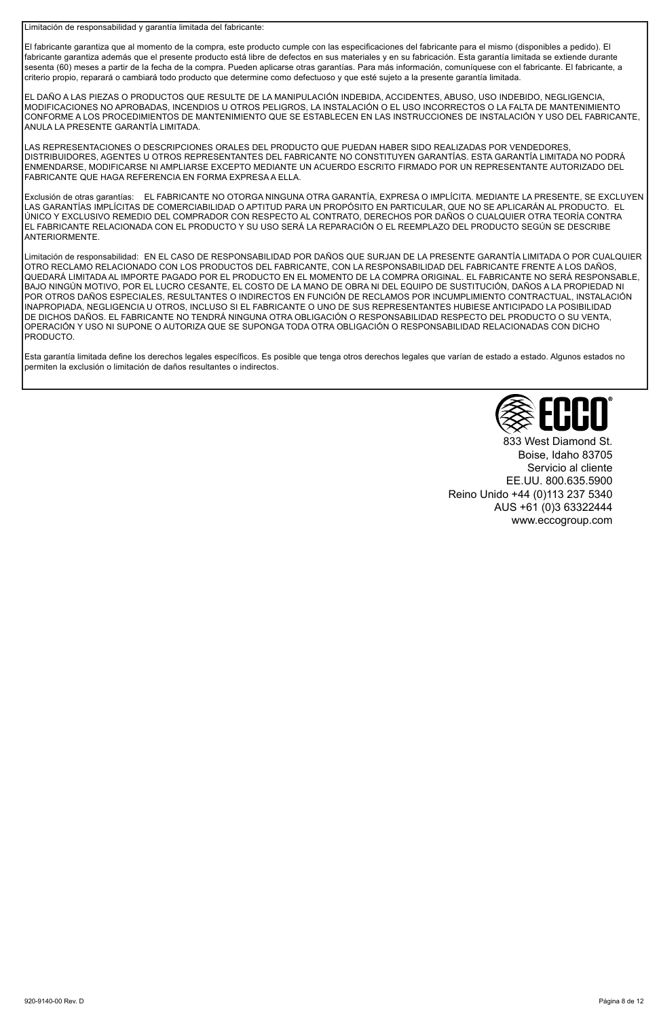Limitación de responsabilidad y garantía limitada del fabricante:

El fabricante garantiza que al momento de la compra, este producto cumple con las especificaciones del fabricante para el mismo (disponibles a pedido). El fabricante garantiza además que el presente producto está libre de defectos en sus materiales y en su fabricación. Esta garantía limitada se extiende durante sesenta (60) meses a partir de la fecha de la compra. Pueden aplicarse otras garantías. Para más información, comuníquese con el fabricante. El fabricante, a criterio propio, reparará o cambiará todo producto que determine como defectuoso y que esté sujeto a la presente garantía limitada.

EL DAÑO A LAS PIEZAS O PRODUCTOS QUE RESULTE DE LA MANIPULACIÓN INDEBIDA, ACCIDENTES, ABUSO, USO INDEBIDO, NEGLIGENCIA, MODIFICACIONES NO APROBADAS, INCENDIOS U OTROS PELIGROS, LA INSTALACIÓN O EL USO INCORRECTOS O LA FALTA DE MANTENIMIENTO CONFORME A LOS PROCEDIMIENTOS DE MANTENIMIENTO QUE SE ESTABLECEN EN LAS INSTRUCCIONES DE INSTALACIÓN Y USO DEL FABRICANTE, ANULA LA PRESENTE GARANTÍA LIMITADA.

LAS REPRESENTACIONES O DESCRIPCIONES ORALES DEL PRODUCTO QUE PUEDAN HABER SIDO REALIZADAS POR VENDEDORES, DISTRIBUIDORES, AGENTES U OTROS REPRESENTANTES DEL FABRICANTE NO CONSTITUYEN GARANTÍAS. ESTA GARANTÍA LIMITADA NO PODRÁ ENMENDARSE, MODIFICARSE NI AMPLIARSE EXCEPTO MEDIANTE UN ACUERDO ESCRITO FIRMADO POR UN REPRESENTANTE AUTORIZADO DEL FABRICANTE QUE HAGA REFERENCIA EN FORMA EXPRESA A ELLA.

Exclusión de otras garantías: EL FABRICANTE NO OTORGA NINGUNA OTRA GARANTÍA, EXPRESA O IMPLÍCITA. MEDIANTE LA PRESENTE, SE EXCLUYEN LAS GARANTÍAS IMPLÍCITAS DE COMERCIABILIDAD O APTITUD PARA UN PROPÓSITO EN PARTICULAR, QUE NO SE APLICARÁN AL PRODUCTO. EL ÚNICO Y EXCLUSIVO REMEDIO DEL COMPRADOR CON RESPECTO AL CONTRATO, DERECHOS POR DAÑOS O CUALQUIER OTRA TEORÍA CONTRA EL FABRICANTE RELACIONADA CON EL PRODUCTO Y SU USO SERÁ LA REPARACIÓN O EL REEMPLAZO DEL PRODUCTO SEGÚN SE DESCRIBE **ANTERIORMENTE** 

Limitación de responsabilidad: EN EL CASO DE RESPONSABILIDAD POR DAÑOS QUE SURJAN DE LA PRESENTE GARANTÍA LIMITADA O POR CUALQUIER OTRO RECLAMO RELACIONADO CON LOS PRODUCTOS DEL FABRICANTE, CON LA RESPONSABILIDAD DEL FABRICANTE FRENTE A LOS DAÑOS, QUEDARÁ LIMITADA AL IMPORTE PAGADO POR EL PRODUCTO EN EL MOMENTO DE LA COMPRA ORIGINAL. EL FABRICANTE NO SERÁ RESPONSABLE, BAJO NINGÚN MOTIVO, POR EL LUCRO CESANTE, EL COSTO DE LA MANO DE OBRA NI DEL EQUIPO DE SUSTITUCIÓN, DAÑOS A LA PROPIEDAD NI POR OTROS DAÑOS ESPECIALES, RESULTANTES O INDIRECTOS EN FUNCIÓN DE RECLAMOS POR INCUMPLIMIENTO CONTRACTUAL, INSTALACIÓN INAPROPIADA, NEGLIGENCIA U OTROS, INCLUSO SI EL FABRICANTE O UNO DE SUS REPRESENTANTES HUBIESE ANTICIPADO LA POSIBILIDAD DE DICHOS DAÑOS. EL FABRICANTE NO TENDRÁ NINGUNA OTRA OBLIGACIÓN O RESPONSABILIDAD RESPECTO DEL PRODUCTO O SU VENTA, OPERACIÓN Y USO NI SUPONE O AUTORIZA QUE SE SUPONGA TODA OTRA OBLIGACIÓN O RESPONSABILIDAD RELACIONADAS CON DICHO PRODUCTO.

Esta garantía limitada define los derechos legales específicos. Es posible que tenga otros derechos legales que varían de estado a estado. Algunos estados no permiten la exclusión o limitación de daños resultantes o indirectos.



833 West Diamond St. Boise, Idaho 83705 Servicio al cliente EE.UU. 800.635.5900 Reino Unido +44 (0)113 237 5340 AUS +61 (0)3 63322444 www.eccogroup.com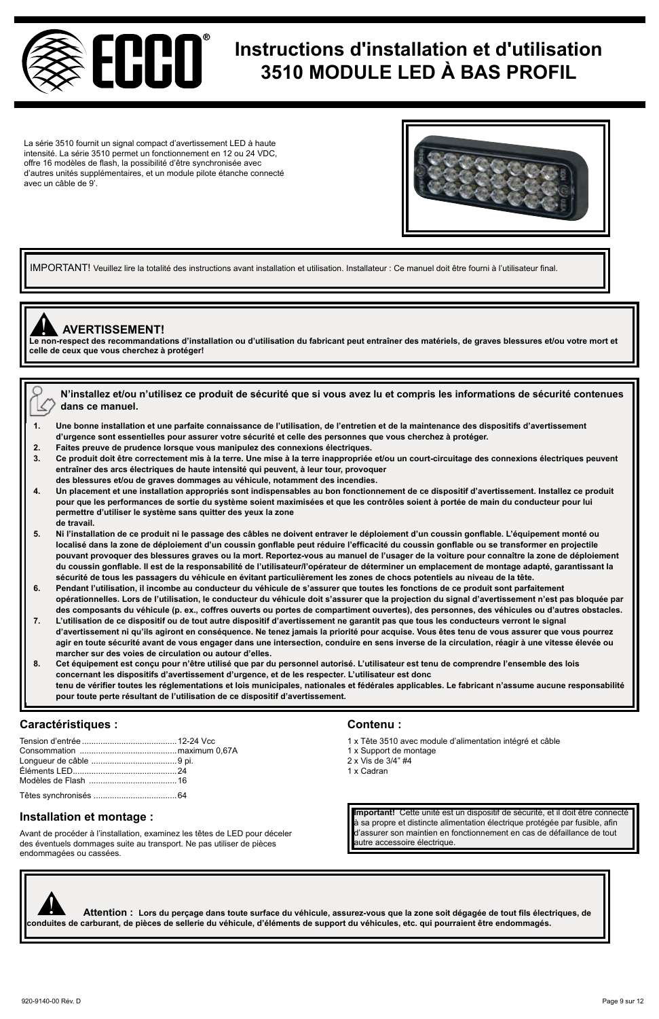

# **Instructions d'installation et d'utilisation 3510 MODULE LED À BAS PROFIL**

La série 3510 fournit un signal compact d'avertissement LED à haute intensité. La série 3510 permet un fonctionnement en 12 ou 24 VDC, offre 16 modèles de flash, la possibilité d'être synchronisée avec d'autres unités supplémentaires, et un module pilote étanche connecté avec un câble de 9'.



IMPORTANT! Veuillez lire la totalité des instructions avant installation et utilisation. Installateur : Ce manuel doit être fourni à l'utilisateur final.



# ! **AVERTISSEMENT!**

**Le non-respect des recommandations d'installation ou d'utilisation du fabricant peut entraîner des matériels, de graves blessures et/ou votre mort et celle de ceux que vous cherchez à protéger!**

|  | $\forall$ $_{\infty}$ N'installez et/ou n'utilisez ce produit de sécurité que si vous avez lu et compris les informations de sécurité contenues |
|--|-------------------------------------------------------------------------------------------------------------------------------------------------|
|  | $\langle \rangle$ dans ce manuel.                                                                                                               |

- **1. Une bonne installation et une parfaite connaissance de l'utilisation, de l'entretien et de la maintenance des dispositifs d'avertissement d'urgence sont essentielles pour assurer votre sécurité et celle des personnes que vous cherchez à protéger.**
- **2. Faites preuve de prudence lorsque vous manipulez des connexions électriques.**
- Ce produit doit être correctement mis à la terre. Une mise à la terre inappropriée et/ou un court-circuitage des connexions électriques peuvent **entraîner des arcs électriques de haute intensité qui peuvent, à leur tour, provoquer**
- **des blessures et/ou de graves dommages au véhicule, notamment des incendies. 4. Un placement et une installation appropriés sont indispensables au bon fonctionnement de ce dispositif d'avertissement. Installez ce produit**
- **pour que les performances de sortie du système soient maximisées et que les contrôles soient à portée de main du conducteur pour lui permettre d'utiliser le système sans quitter des yeux la zone de travail.**
- **5. Ni l'installation de ce produit ni le passage des câbles ne doivent entraver le déploiement d'un coussin gonflable. L'équipement monté ou localisé dans la zone de déploiement d'un coussin gonflable peut réduire l'efficacité du coussin gonflable ou se transformer en projectile pouvant provoquer des blessures graves ou la mort. Reportez-vous au manuel de l'usager de la voiture pour connaître la zone de déploiement du coussin gonflable. Il est de la responsabilité de l'utilisateur/l'opérateur de déterminer un emplacement de montage adapté, garantissant la sécurité de tous les passagers du véhicule en évitant particulièrement les zones de chocs potentiels au niveau de la tête.**
- **6. Pendant l'utilisation, il incombe au conducteur du véhicule de s'assurer que toutes les fonctions de ce produit sont parfaitement opérationnelles. Lors de l'utilisation, le conducteur du véhicule doit s'assurer que la projection du signal d'avertissement n'est pas bloquée par des composants du véhicule (p. ex., coffres ouverts ou portes de compartiment ouvertes), des personnes, des véhicules ou d'autres obstacles.**
- **7. L'utilisation de ce dispositif ou de tout autre dispositif d'avertissement ne garantit pas que tous les conducteurs verront le signal d'avertissement ni qu'ils agiront en conséquence. Ne tenez jamais la priorité pour acquise. Vous êtes tenu de vous assurer que vous pourrez agir en toute sécurité avant de vous engager dans une intersection, conduire en sens inverse de la circulation, réagir à une vitesse élevée ou marcher sur des voies de circulation ou autour d'elles.**
- **8. Cet équipement est conçu pour n'être utilisé que par du personnel autorisé. L'utilisateur est tenu de comprendre l'ensemble des lois concernant les dispositifs d'avertissement d'urgence, et de les respecter. L'utilisateur est donc tenu de vérifier toutes les réglementations et lois municipales, nationales et fédérales applicables. Le fabricant n'assume aucune responsabilité pour toute perte résultant de l'utilisation de ce dispositif d'avertissement.**

# **Caractéristiques : Contenu :**

Avant de procéder à l'installation, examinez les têtes de LED pour déceler des éventuels dommages suite au transport. Ne pas utiliser de pièces endommagées ou cassées.

- 1 x Tête 3510 avec module d'alimentation intégré et câble
- 1 x Support de montage
- 2 x Vis de 3/4" #4
- 1 x Cadran

**Important!** Cette unité est un dispositif de sécurité, et il doit être connecté **antité est unité est un dispositif de sécurité**, et il doit être connecté en **languardier de languardier de languardier en languardier en la** d'assurer son maintien en fonctionnement en cas de défaillance de tout autre accessoire électrique.

 **Attention : Lors du perçage dans toute surface du véhicule, assurez-vous que la zone soit dégagée de tout fils électriques, de conduites de carburant, de pièces du perçage dans toute surface du véhicule, assurez-vous que la zone soit dégagée de tout fils élect<br>Conduites de carburant, de pièces de sellerie du véhicule, d'éléments de support du véh**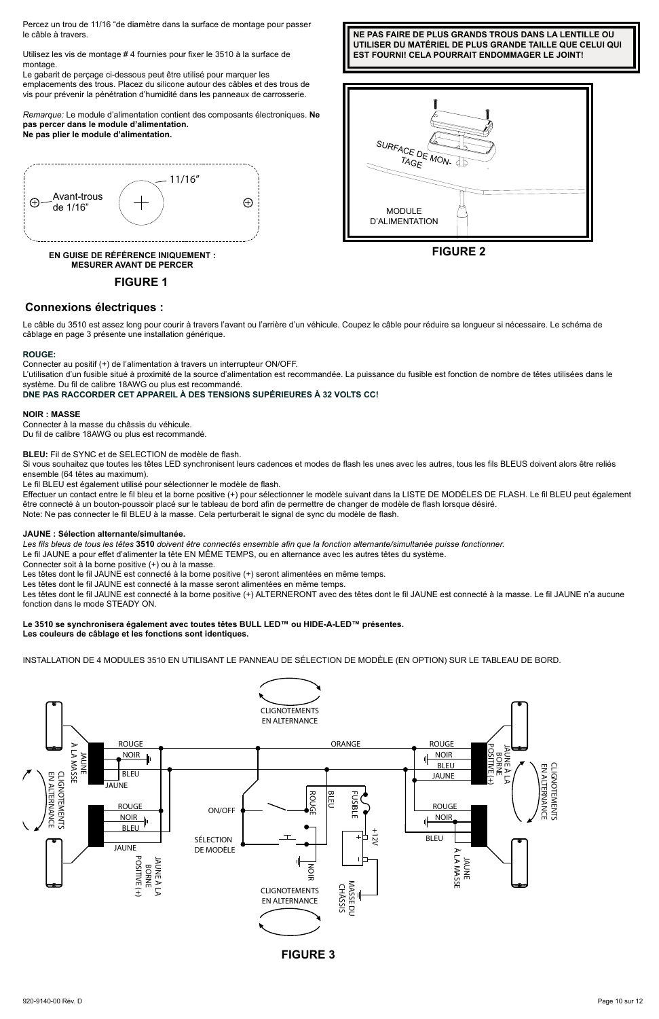Percez un trou de 11/16 "de diamètre dans la surface de montage pour passer le câble à travers.

Utilisez les vis de montage # 4 fournies pour fixer le 3510 à la surface de montage.

Le gabarit de perçage ci-dessous peut être utilisé pour marquer les emplacements des trous. Placez du silicone autour des câbles et des trous de vis pour prévenir la pénétration d'humidité dans les panneaux de carrosserie.

*Remarque:* Le module d'alimentation contient des composants électroniques. **Ne pas percer dans le module d'alimentation.** 





**EN GUISE DE RÉFÉRENCE INIQUEMENT : MESURER AVANT DE PERCER**

**FIGURE 1**







**Connexions électriques :**

Le câble du 3510 est assez long pour courir à travers l'avant ou l'arrière d'un véhicule. Coupez le câble pour réduire sa longueur si nécessaire. Le schéma de câblage en page 3 présente une installation générique.

#### **ROUGE:**

Connecter au positif (+) de l'alimentation à travers un interrupteur ON/OFF.

L'utilisation d'un fusible situé à proximité de la source d'alimentation est recommandée. La puissance du fusible est fonction de nombre de têtes utilisées dans le système. Du fil de calibre 18AWG ou plus est recommandé.

**DNE PAS RACCORDER CET APPAREIL À DES TENSIONS SUPÉRIEURES À 32 VOLTS CC!**

#### **NOIR : MASSE**

Connecter à la masse du châssis du véhicule. Du fil de calibre 18AWG ou plus est recommandé.

**BLEU:** Fil de SYNC et de SELECTION de modèle de flash.

Si vous souhaitez que toutes les têtes LED synchronisent leurs cadences et modes de flash les unes avec les autres, tous les fils BLEUS doivent alors être reliés ensemble (64 têtes au maximum).

Le fil BLEU est également utilisé pour sélectionner le modèle de flash.

Effectuer un contact entre le fil bleu et la borne positive (+) pour sélectionner le modèle suivant dans la LISTE DE MODÈLES DE FLASH. Le fil BLEU peut également être connecté à un bouton-poussoir placé sur le tableau de bord afin de permettre de changer de modèle de flash lorsque désiré.

Note: Ne pas connecter le fil BLEU à la masse. Cela perturberait le signal de sync du modèle de flash.

# **JAUNE : Sélection alternante/simultanée.**

*Les fils bleus de tous les têtes* **3510** *doivent être connectés ensemble afin que la fonction alternante/simultanée puisse fonctionner.*

Le fil JAUNE a pour effet d'alimenter la tête EN MÊME TEMPS, ou en alternance avec les autres têtes du système.

Connecter soit à la borne positive (+) ou à la masse.

Les têtes dont le fil JAUNE est connecté à la borne positive (+) seront alimentées en même temps.

Les têtes dont le fil JAUNE est connecté à la masse seront alimentées en même temps.

Les têtes dont le fil JAUNE est connecté à la borne positive (+) ALTERNERONT avec des têtes dont le fil JAUNE est connecté à la masse. Le fil JAUNE n'a aucune fonction dans le mode STEADY ON.

# **Le 3510 se synchronisera également avec toutes têtes BULL LED™ ou HIDE-A-LED™ présentes.**

**Les couleurs de câblage et les fonctions sont identiques.**

INSTALLATION DE 4 MODULES 3510 EN UTILISANT LE PANNEAU DE SÉLECTION DE MODÈLE (EN OPTION) SUR LE TABLEAU DE BORD.



**FIGURE 3**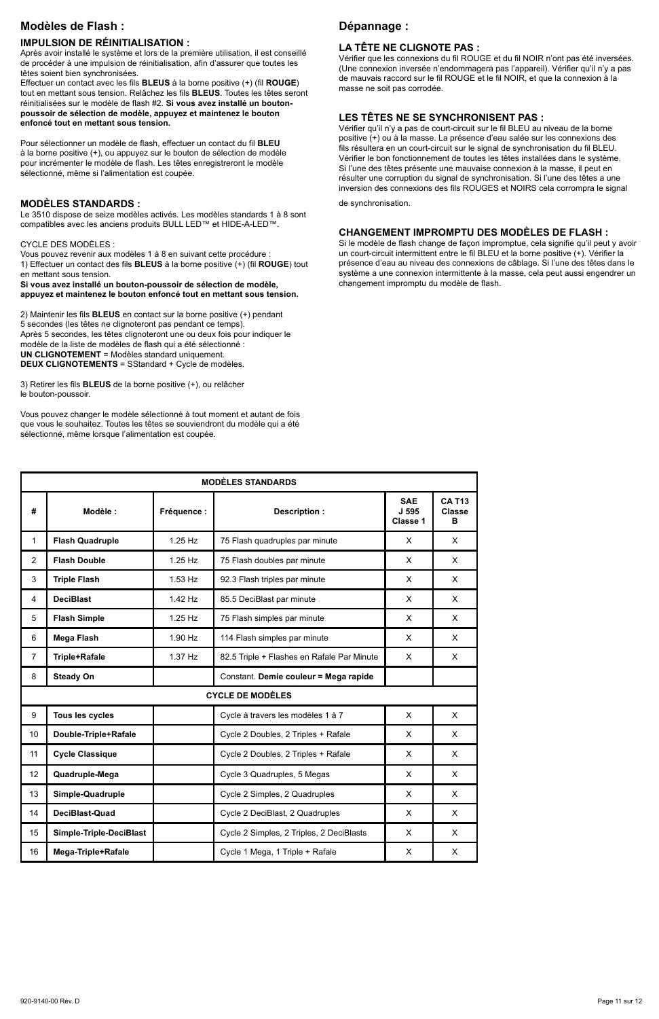# **Modèles de Flash :**

### **IMPULSION DE RÉINITIALISATION :**

Après avoir installé le système et lors de la première utilisation, il est conseillé de procéder à une impulsion de réinitialisation, afin d'assurer que toutes les têtes soient bien synchronisées.

Effectuer un contact avec les fils **BLEUS** à la borne positive (+) (fil **ROUGE**) tout en mettant sous tension. Relâchez les fils **BLEUS**. Toutes les têtes seront réinitialisées sur le modèle de flash #2. **Si vous avez installé un boutonpoussoir de sélection de modèle, appuyez et maintenez le bouton enfoncé tout en mettant sous tension.**

Pour sélectionner un modèle de flash, effectuer un contact du fil **BLEU** à la borne positive (+), ou appuyez sur le bouton de sélection de modèle pour incrémenter le modèle de flash. Les têtes enregistreront le modèle sélectionné, même si l'alimentation est coupée.

### **MODÈLES STANDARDS :**

Le 3510 dispose de seize modèles activés. Les modèles standards 1 à 8 sont compatibles avec les anciens produits BULL LED™ et HIDE-A-LED™.

### CYCLE DES MODÈLES :

Vous pouvez revenir aux modèles 1 à 8 en suivant cette procédure : 1) Effectuer un contact des fils **BLEUS** à la borne positive (+) (fil **ROUGE**) tout en mettant sous tension.

**Si vous avez installé un bouton-poussoir de sélection de modèle, appuyez et maintenez le bouton enfoncé tout en mettant sous tension.** 

2) Maintenir les fils **BLEUS** en contact sur la borne positive (+) pendant 5 secondes (les têtes ne clignoteront pas pendant ce temps). Après 5 secondes, les têtes clignoteront une ou deux fois pour indiquer le modèle de la liste de modèles de flash qui a été sélectionné : **UN CLIGNOTEMENT** = Modèles standard uniquement. **DEUX CLIGNOTEMENTS** = SStandard + Cycle de modèles.

3) Retirer les fils **BLEUS** de la borne positive (+), ou relâcher le bouton-poussoir.

Vous pouvez changer le modèle sélectionné à tout moment et autant de fois que vous le souhaitez. Toutes les têtes se souviendront du modèle qui a été sélectionné, même lorsque l'alimentation est coupée.

# **Dépannage :**

### **LA TÊTE NE CLIGNOTE PAS :**

Vérifier que les connexions du fil ROUGE et du fil NOIR n'ont pas été inversées. (Une connexion inversée n'endommagera pas l'appareil). Vérifier qu'il n'y a pas de mauvais raccord sur le fil ROUGE et le fil NOIR, et que la connexion à la masse ne soit pas corrodée.

## **LES TÊTES NE SE SYNCHRONISENT PAS :**

Vérifier qu'il n'y a pas de court-circuit sur le fil BLEU au niveau de la borne positive (+) ou à la masse. La présence d'eau salée sur les connexions des fils résultera en un court-circuit sur le signal de synchronisation du fil BLEU. Vérifier le bon fonctionnement de toutes les têtes installées dans le système. Si l'une des têtes présente une mauvaise connexion à la masse, il peut en résulter une corruption du signal de synchronisation. Si l'une des têtes a une inversion des connexions des fils ROUGES et NOIRS cela corrompra le signal

de synchronisation.

### **CHANGEMENT IMPROMPTU DES MODÈLES DE FLASH :**

Si le modèle de flash change de façon impromptue, cela signifie qu'il peut y avoir un court-circuit intermittent entre le fil BLEU et la borne positive (+). Vérifier la présence d'eau au niveau des connexions de câblage. Si l'une des têtes dans le système a une connexion intermittente à la masse, cela peut aussi engendrer un changement impromptu du modèle de flash.

| <b>MODÉLES STANDARDS</b> |                         |             |                                            |                                 |                              |
|--------------------------|-------------------------|-------------|--------------------------------------------|---------------------------------|------------------------------|
| #                        | Modèle:                 | Fréquence : | Description:                               | <b>SAE</b><br>J 595<br>Classe 1 | <b>CA T13</b><br>Classe<br>в |
| 1                        | <b>Flash Quadruple</b>  | $1.25$ Hz   | 75 Flash quadruples par minute             | $\times$                        | x                            |
| $\overline{a}$           | <b>Flash Double</b>     | $1.25$ Hz   | 75 Flash doubles par minute                | X                               | X                            |
| 3                        | <b>Triple Flash</b>     | 1.53 Hz     | 92.3 Flash triples par minute              | X                               | X                            |
| 4                        | <b>DeciBlast</b>        | $1.42$ Hz   | 85.5 DeciBlast par minute                  | x                               | X                            |
| 5                        | <b>Flash Simple</b>     | $1.25$ Hz   | 75 Flash simples par minute                | X                               | x                            |
| 6                        | Mega Flash              | 1.90 Hz     | 114 Flash simples par minute               | X                               | X                            |
| $\overline{7}$           | Triple+Rafale           | 1.37 Hz     | 82.5 Triple + Flashes en Rafale Par Minute | X                               | X                            |
| 8                        | Steady On               |             | Constant. Demie couleur = Mega rapide      |                                 |                              |
|                          |                         |             | <b>CYCLE DE MODÈLES</b>                    |                                 |                              |
| 9                        | Tous les cycles         |             | Cycle à travers les modèles 1 à 7          | X                               | X                            |
| 10                       | Double-Triple+Rafale    |             | Cycle 2 Doubles, 2 Triples + Rafale        | x                               | x                            |
| 11                       | <b>Cycle Classique</b>  |             | Cycle 2 Doubles, 2 Triples + Rafale        | X                               | X                            |
| 12                       | Quadruple-Mega          |             | Cycle 3 Quadruples, 5 Megas                | X                               | X                            |
| 13                       | Simple-Quadruple        |             | Cycle 2 Simples, 2 Quadruples              | x                               | X                            |
| 14                       | DeciBlast-Quad          |             | Cycle 2 DeciBlast, 2 Quadruples            | x                               | x                            |
| 15                       | Simple-Triple-DeciBlast |             | Cycle 2 Simples, 2 Triples, 2 DeciBlasts   | X                               | X                            |
| 16                       | Mega-Triple+Rafale      |             | Cycle 1 Mega, 1 Triple + Rafale            | x                               | X                            |